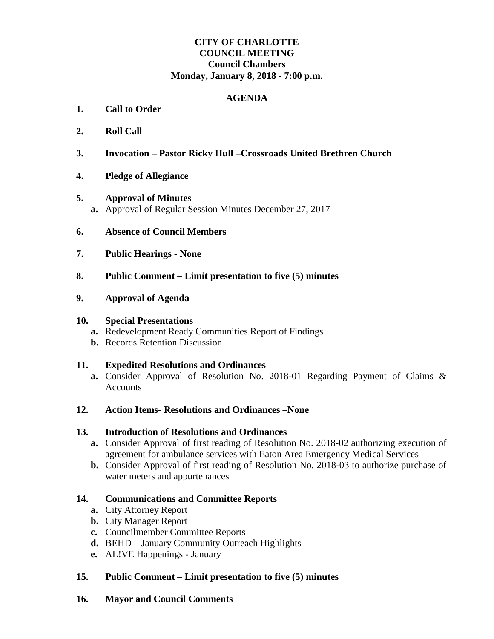# **CITY OF CHARLOTTE COUNCIL MEETING Council Chambers Monday, January 8, 2018 - 7:00 p.m.**

#### **AGENDA**

- **1. Call to Order**
- **2. Roll Call**
- **3. Invocation – Pastor Ricky Hull –Crossroads United Brethren Church**
- **4. Pledge of Allegiance**
- **5. Approval of Minutes a.** Approval of Regular Session Minutes December 27, 2017
- **6. Absence of Council Members**
- **7. Public Hearings - None**
- **8. Public Comment – Limit presentation to five (5) minutes**
- **9. Approval of Agenda**

#### **10. Special Presentations**

- **a.** Redevelopment Ready Communities Report of Findings
- **b.** Records Retention Discussion

#### **11. Expedited Resolutions and Ordinances**

- **a.** Consider Approval of Resolution No. 2018-01 Regarding Payment of Claims & Accounts
- **12. Action Items- Resolutions and Ordinances –None**

#### **13. Introduction of Resolutions and Ordinances**

- **a.** Consider Approval of first reading of Resolution No. 2018-02 authorizing execution of agreement for ambulance services with Eaton Area Emergency Medical Services
- **b.** Consider Approval of first reading of Resolution No. 2018-03 to authorize purchase of water meters and appurtenances

## **14. Communications and Committee Reports**

- **a.** City Attorney Report
- **b.** City Manager Report
- **c.** Councilmember Committee Reports
- **d.** BEHD January Community Outreach Highlights
- **e.** AL!VE Happenings January

# **15. Public Comment – Limit presentation to five (5) minutes**

**16. Mayor and Council Comments**